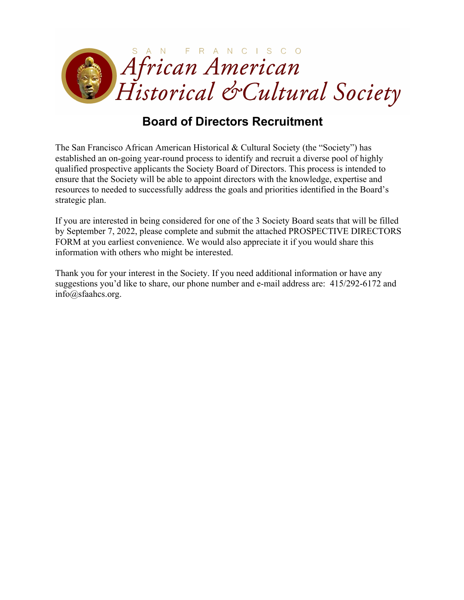

## **Board of Directors Recruitment**

The San Francisco African American Historical & Cultural Society (the "Society") has established an on-going year-round process to identify and recruit a diverse pool of highly qualified prospective applicants the Society Board of Directors. This process is intended to ensure that the Society will be able to appoint directors with the knowledge, expertise and resources to needed to successfully address the goals and priorities identified in the Board's strategic plan.

If you are interested in being considered for one of the 3 Society Board seats that will be filled by September 7, 2022, please complete and submit the attached PROSPECTIVE DIRECTORS FORM at you earliest convenience. We would also appreciate it if you would share this information with others who might be interested.

Thank you for your interest in the Society. If you need additional information or have any suggestions you'd like to share, our phone number and e-mail address are: 415/292-6172 and info@sfaahcs.org.